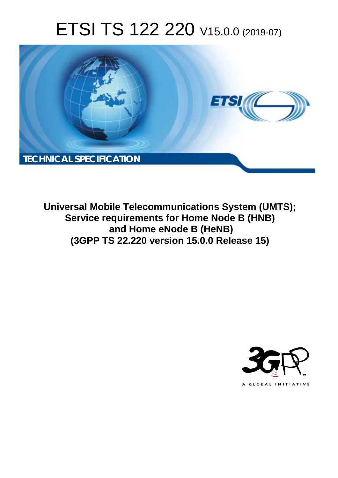# ETSI TS 122 220 V15.0.0 (2019-07)



**Universal Mobile Telecommunications System (UMTS); Service requirements for Home Node B (HNB) and Home eNode B (HeNB) (3GPP TS 22.220 version 15.0.0 Release 15)** 

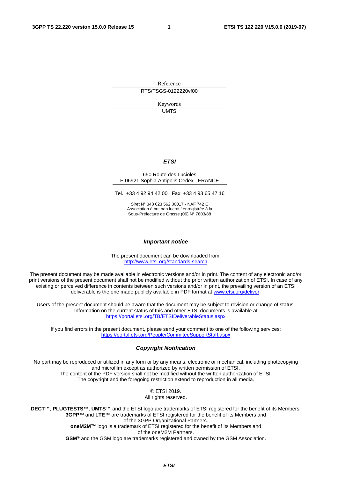Reference RTS/TSGS-0122220vf00

> Keywords **UMTS**

#### *ETSI*

#### 650 Route des Lucioles F-06921 Sophia Antipolis Cedex - FRANCE

Tel.: +33 4 92 94 42 00 Fax: +33 4 93 65 47 16

Siret N° 348 623 562 00017 - NAF 742 C Association à but non lucratif enregistrée à la Sous-Préfecture de Grasse (06) N° 7803/88

#### *Important notice*

The present document can be downloaded from: <http://www.etsi.org/standards-search>

The present document may be made available in electronic versions and/or in print. The content of any electronic and/or print versions of the present document shall not be modified without the prior written authorization of ETSI. In case of any existing or perceived difference in contents between such versions and/or in print, the prevailing version of an ETSI deliverable is the one made publicly available in PDF format at [www.etsi.org/deliver](http://www.etsi.org/deliver).

Users of the present document should be aware that the document may be subject to revision or change of status. Information on the current status of this and other ETSI documents is available at <https://portal.etsi.org/TB/ETSIDeliverableStatus.aspx>

If you find errors in the present document, please send your comment to one of the following services: <https://portal.etsi.org/People/CommiteeSupportStaff.aspx>

#### *Copyright Notification*

No part may be reproduced or utilized in any form or by any means, electronic or mechanical, including photocopying and microfilm except as authorized by written permission of ETSI. The content of the PDF version shall not be modified without the written authorization of ETSI. The copyright and the foregoing restriction extend to reproduction in all media.

> © ETSI 2019. All rights reserved.

**DECT™**, **PLUGTESTS™**, **UMTS™** and the ETSI logo are trademarks of ETSI registered for the benefit of its Members. **3GPP™** and **LTE™** are trademarks of ETSI registered for the benefit of its Members and of the 3GPP Organizational Partners. **oneM2M™** logo is a trademark of ETSI registered for the benefit of its Members and of the oneM2M Partners. **GSM®** and the GSM logo are trademarks registered and owned by the GSM Association.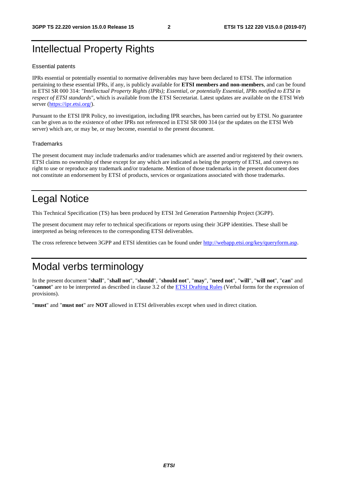## Intellectual Property Rights

#### Essential patents

IPRs essential or potentially essential to normative deliverables may have been declared to ETSI. The information pertaining to these essential IPRs, if any, is publicly available for **ETSI members and non-members**, and can be found in ETSI SR 000 314: *"Intellectual Property Rights (IPRs); Essential, or potentially Essential, IPRs notified to ETSI in respect of ETSI standards"*, which is available from the ETSI Secretariat. Latest updates are available on the ETSI Web server ([https://ipr.etsi.org/\)](https://ipr.etsi.org/).

Pursuant to the ETSI IPR Policy, no investigation, including IPR searches, has been carried out by ETSI. No guarantee can be given as to the existence of other IPRs not referenced in ETSI SR 000 314 (or the updates on the ETSI Web server) which are, or may be, or may become, essential to the present document.

#### **Trademarks**

The present document may include trademarks and/or tradenames which are asserted and/or registered by their owners. ETSI claims no ownership of these except for any which are indicated as being the property of ETSI, and conveys no right to use or reproduce any trademark and/or tradename. Mention of those trademarks in the present document does not constitute an endorsement by ETSI of products, services or organizations associated with those trademarks.

## Legal Notice

This Technical Specification (TS) has been produced by ETSI 3rd Generation Partnership Project (3GPP).

The present document may refer to technical specifications or reports using their 3GPP identities. These shall be interpreted as being references to the corresponding ETSI deliverables.

The cross reference between 3GPP and ETSI identities can be found under<http://webapp.etsi.org/key/queryform.asp>.

### Modal verbs terminology

In the present document "**shall**", "**shall not**", "**should**", "**should not**", "**may**", "**need not**", "**will**", "**will not**", "**can**" and "**cannot**" are to be interpreted as described in clause 3.2 of the [ETSI Drafting Rules](https://portal.etsi.org/Services/editHelp!/Howtostart/ETSIDraftingRules.aspx) (Verbal forms for the expression of provisions).

"**must**" and "**must not**" are **NOT** allowed in ETSI deliverables except when used in direct citation.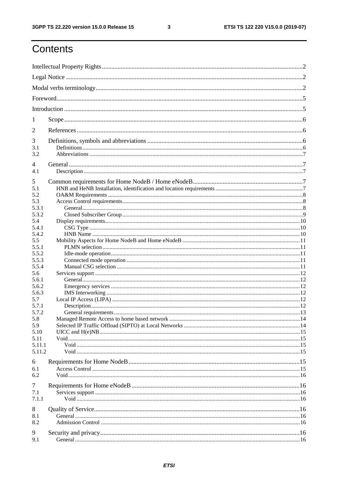$\mathbf{3}$ 

## Contents

| 1              |  |  |  |  |  |  |  |
|----------------|--|--|--|--|--|--|--|
| 2              |  |  |  |  |  |  |  |
| 3              |  |  |  |  |  |  |  |
| 3.1<br>3.2     |  |  |  |  |  |  |  |
| 4              |  |  |  |  |  |  |  |
| 4.1            |  |  |  |  |  |  |  |
| 5              |  |  |  |  |  |  |  |
| 5.1            |  |  |  |  |  |  |  |
| 5.2            |  |  |  |  |  |  |  |
| 5.3            |  |  |  |  |  |  |  |
| 5.3.1          |  |  |  |  |  |  |  |
| 5.3.2          |  |  |  |  |  |  |  |
| 5.4            |  |  |  |  |  |  |  |
| 5.4.1          |  |  |  |  |  |  |  |
| 5.4.2          |  |  |  |  |  |  |  |
| 5.5            |  |  |  |  |  |  |  |
| 5.5.1          |  |  |  |  |  |  |  |
| 5.5.2          |  |  |  |  |  |  |  |
| 5.5.3          |  |  |  |  |  |  |  |
| 5.5.4          |  |  |  |  |  |  |  |
| 5.6            |  |  |  |  |  |  |  |
| 5.6.1<br>5.6.2 |  |  |  |  |  |  |  |
|                |  |  |  |  |  |  |  |
| 5.6.3          |  |  |  |  |  |  |  |
| 5.7            |  |  |  |  |  |  |  |
| 5.7.1<br>5.7.2 |  |  |  |  |  |  |  |
| 5.8            |  |  |  |  |  |  |  |
| 5.9            |  |  |  |  |  |  |  |
| 5.10           |  |  |  |  |  |  |  |
| 5.11           |  |  |  |  |  |  |  |
| 5.11.1         |  |  |  |  |  |  |  |
| 5.11.2         |  |  |  |  |  |  |  |
|                |  |  |  |  |  |  |  |
| 6              |  |  |  |  |  |  |  |
| 6.1            |  |  |  |  |  |  |  |
| 6.2            |  |  |  |  |  |  |  |
|                |  |  |  |  |  |  |  |
| 7              |  |  |  |  |  |  |  |
| 7.1            |  |  |  |  |  |  |  |
| 7.1.1          |  |  |  |  |  |  |  |
| 8              |  |  |  |  |  |  |  |
| 8.1            |  |  |  |  |  |  |  |
| 8.2            |  |  |  |  |  |  |  |
|                |  |  |  |  |  |  |  |
| 9              |  |  |  |  |  |  |  |
| 9.1            |  |  |  |  |  |  |  |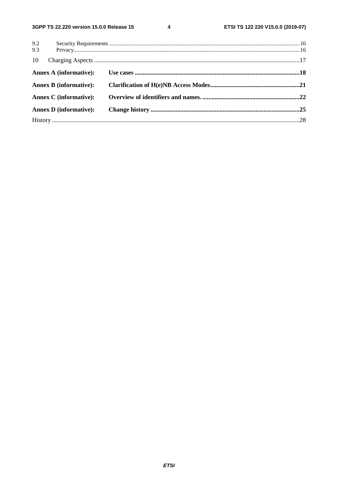$\overline{\mathbf{4}}$ 

| 9.2                           |  |
|-------------------------------|--|
| 9.3                           |  |
| 10                            |  |
| Annex A (informative):        |  |
| <b>Annex B</b> (informative): |  |
| <b>Annex C</b> (informative): |  |
| <b>Annex D</b> (informative): |  |
|                               |  |
|                               |  |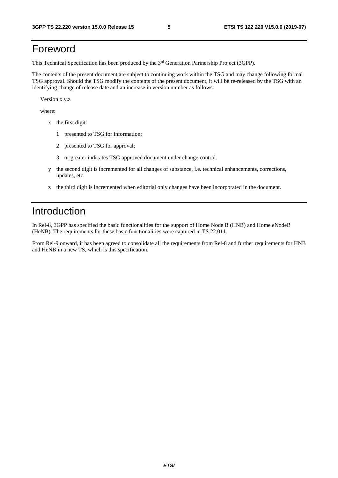## Foreword

This Technical Specification has been produced by the 3<sup>rd</sup> Generation Partnership Project (3GPP).

The contents of the present document are subject to continuing work within the TSG and may change following formal TSG approval. Should the TSG modify the contents of the present document, it will be re-released by the TSG with an identifying change of release date and an increase in version number as follows:

Version x.y.z

where:

- x the first digit:
	- 1 presented to TSG for information;
	- 2 presented to TSG for approval;
	- 3 or greater indicates TSG approved document under change control.
- y the second digit is incremented for all changes of substance, i.e. technical enhancements, corrections, updates, etc.
- z the third digit is incremented when editorial only changes have been incorporated in the document.

## Introduction

In Rel-8, 3GPP has specified the basic functionalities for the support of Home Node B (HNB) and Home eNodeB (HeNB). The requirements for these basic functionalities were captured in TS 22.011.

From Rel-9 onward, it has been agreed to consolidate all the requirements from Rel-8 and further requirements for HNB and HeNB in a new TS, which is this specification.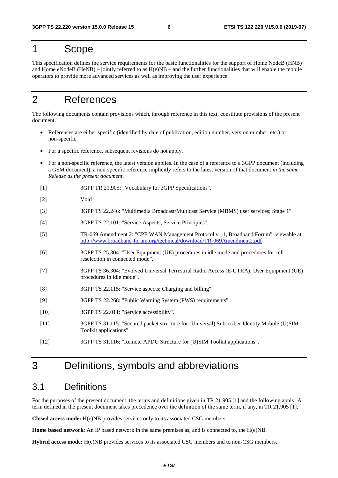### 1 Scope

This specification defines the service requirements for the basic functionalities for the support of Home NodeB (HNB) and Home  $e$ NodeB (HeNB) – jointly referred to as  $H(e)NB$  – and the further functionalities that will enable the mobile operators to provide more advanced services as well as improving the user experience.

### 2 References

The following documents contain provisions which, through reference in this text, constitute provisions of the present document.

- References are either specific (identified by date of publication, edition number, version number, etc.) or non-specific.
- For a specific reference, subsequent revisions do not apply.
- For a non-specific reference, the latest version applies. In the case of a reference to a 3GPP document (including a GSM document), a non-specific reference implicitly refers to the latest version of that document *in the same Release as the present document*.
- [1] 3GPP TR 21.905: "Vocabulary for 3GPP Specifications".
- [2] Void
- [3] 3GPP TS 22.246: "Multimedia Broadcast/Multicast Service (MBMS) user services; Stage 1".
- [4] 3GPP TS 22.101: "Service Aspects; Service Principles".
- [5] TR-069 Amendment 2: "CPE WAN Management Protocol v1.1, Broadband Forum", viewable at <http://www.broadband-forum.org/technical/download/TR-069Amendment2.pdf>
- [6] 3GPP TS 25.304: "User Equipment (UE) procedures in idle mode and procedures for cell reselection in connected mode".
- [7] 3GPP TS 36.304: "Evolved Universal Terrestrial Radio Access (E-UTRA); User Equipment (UE) procedures in idle mode".
- [8] 3GPP TS 22.115: "Service aspects; Charging and billing".
- [9] 3GPP TS 22.268: "Public Warning System (PWS) requirements".
- [10] 3GPP TS 22.011: "Service accessibility".
- [11] 3GPP TS 31.115: "Secured packet structure for (Universal) Subscriber Identity Mobule (U)SIM Toolkit applications".
- [12] 3GPP TS 31.116: "Remote APDU Structure for (U)SIM Toolkit applications".

### 3 Definitions, symbols and abbreviations

### 3.1 Definitions

For the purposes of the present document, the terms and definitions given in TR 21.905 [1] and the following apply. A term defined in the present document takes precedence over the definition of the same term, if any, in TR 21.905 [1].

**Closed access mode:** H(e)NB provides services only to its associated CSG members.

**Home based network**: An IP based network in the same premises as, and is connected to, the H(e)NB.

**Hybrid access mode:** H(e)NB provides services to its associated CSG members and to non-CSG members.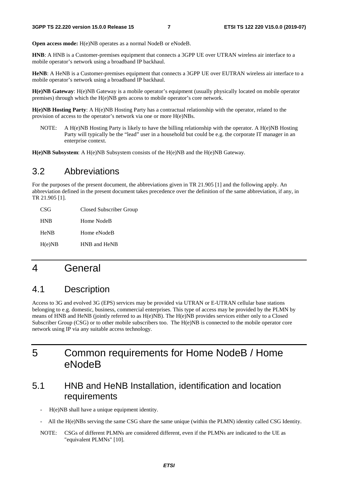**Open access mode:** H(e)NB operates as a normal NodeB or eNodeB.

**HNB**: A HNB is a Customer-premises equipment that connects a 3GPP UE over UTRAN wireless air interface to a mobile operator's network using a broadband IP backhaul.

**HeNB**: A HeNB is a Customer-premises equipment that connects a 3GPP UE over EUTRAN wireless air interface to a mobile operator's network using a broadband IP backhaul.

**H(e)NB Gateway**: H(e)NB Gateway is a mobile operator's equipment (usually physically located on mobile operator premises) through which the H(e)NB gets access to mobile operator's core network.

**H(e)NB Hosting Party**: A H(e)NB Hosting Party has a contractual relationship with the operator, related to the provision of access to the operator's network via one or more H(e)NBs.

NOTE: A H(e)NB Hosting Party is likely to have the billing relationship with the operator. A H(e)NB Hosting Party will typically be the "lead" user in a household but could be e.g. the corporate IT manager in an enterprise context.

**H(e)NB Subsystem**: A H(e)NB Subsystem consists of the H(e)NB and the H(e)NB Gateway.

### 3.2 Abbreviations

For the purposes of the present document, the abbreviations given in TR 21.905 [1] and the following apply. An abbreviation defined in the present document takes precedence over the definition of the same abbreviation, if any, in TR 21.905 [1].

| CSG         | Closed Subscriber Group |
|-------------|-------------------------|
| <b>HNB</b>  | Home NodeB              |
| <b>HeNB</b> | Home eNodeB             |
| H(e)NB      | HNB and HeNB            |

### 4 General

### 4.1 Description

Access to 3G and evolved 3G (EPS) services may be provided via UTRAN or E-UTRAN cellular base stations belonging to e.g. domestic, business, commercial enterprises. This type of access may be provided by the PLMN by means of HNB and HeNB (jointly referred to as H(e)NB). The H(e)NB provides services either only to a Closed Subscriber Group (CSG) or to other mobile subscribers too. The H(e)NB is connected to the mobile operator core network using IP via any suitable access technology.

## 5 Common requirements for Home NodeB / Home eNodeB

### 5.1 HNB and HeNB Installation, identification and location requirements

H(e)NB shall have a unique equipment identity.

- All the H(e)NBs serving the same CSG share the same unique (within the PLMN) identity called CSG Identity.
- NOTE: CSGs of different PLMNs are considered different, even if the PLMNs are indicated to the UE as "equivalent PLMNs" [10].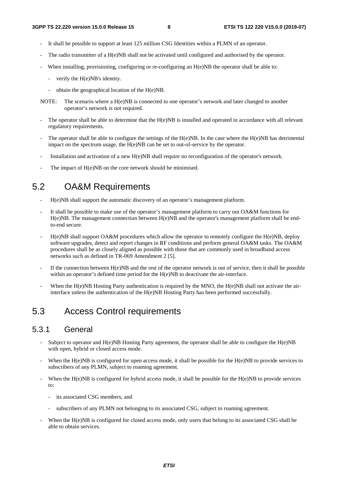- It shall be possible to support at least 125 million CSG Identities within a PLMN of an operator.
- The radio transmitter of a  $H(e)NB$  shall not be activated until configured and authorised by the operator.
- When installing, provisioning, configuring or re-configuring an H(e)NB the operator shall be able to:
	- verify the H(e)NB's identity.
	- obtain the geographical location of the H(e)NB.
- NOTE: The scenario where a H(e)NB is connected to one operator's network and later changed to another operator's network is not required.
- The operator shall be able to determine that the  $H(e)NB$  is installed and operated in accordance with all relevant regulatory requirements.
- The operator shall be able to configure the settings of the  $H(e)NB$ . In the case where the  $H(e)NB$  has detrimental impact on the spectrum usage, the H(e)NB can be set to out-of-service by the operator.
- Installation and activation of a new H(e)NB shall require no reconfiguration of the operator's network.
- The impact of H(e)NB on the core network should be minimised.

## 5.2 OA&M Requirements

- H(e)NB shall support the automatic discovery of an operator's management platform.
- It shall be possible to make use of the operator's management platform to carry out OA&M functions for H(e)NB. The management connection between H(e)NB and the operator's management platform shall be endto-end secure.
- $H(e)NB$  shall support OA&M procedures which allow the operator to remotely configure the  $H(e)NB$ , deploy software upgrades, detect and report changes in RF conditions and perform general OA&M tasks. The OA&M procedures shall be as closely aligned as possible with those that are commonly used in broadband access networks such as defined in TR-069 Amendment 2 [5].
- If the connection between  $H(e)NB$  and the rest of the operator network is out of service, then it shall be possible within an operator's defined time period for the H(e)NB to deactivate the air-interface.
- When the  $H(e)NB$  Hosting Party authentication is required by the MNO, the  $H(e)NB$  shall not activate the airinterface unless the authentication of the H(e)NB Hosting Party has been performed successfully.

## 5.3 Access Control requirements

### 5.3.1 General

- Subject to operator and  $H(e)NB$  Hosting Party agreement, the operator shall be able to configure the  $H(e)NB$ with open, hybrid or closed access mode.
- When the  $H(e)NB$  is configured for open access mode, it shall be possible for the  $H(e)NB$  to provide services to subscribers of any PLMN, subject to roaming agreement.
- When the H(e)NB is configured for hybrid access mode, it shall be possible for the H(e)NB to provide services to:
	- its associated CSG members, and
	- subscribers of any PLMN not belonging to its associated CSG, subject to roaming agreement.
- When the H(e)NB is configured for closed access mode, only users that belong to its associated CSG shall be able to obtain services.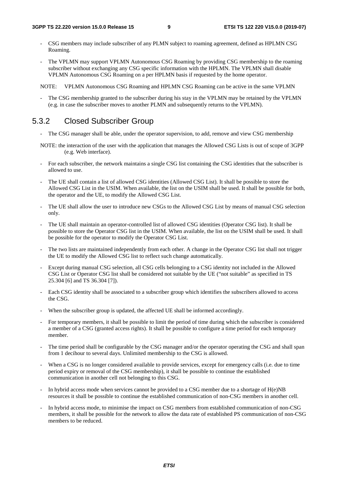- CSG members may include subscriber of any PLMN subject to roaming agreement, defined as HPLMN CSG Roaming.
- The VPLMN may support VPLMN Autonomous CSG Roaming by providing CSG membership to the roaming subscriber without exchanging any CSG specific information with the HPLMN. The VPLMN shall disable VPLMN Autonomous CSG Roaming on a per HPLMN basis if requested by the home operator.

NOTE: VPLMN Autonomous CSG Roaming and HPLMN CSG Roaming can be active in the same VPLMN

The CSG membership granted to the subscriber during his stay in the VPLMN may be retained by the VPLMN (e.g. in case the subscriber moves to another PLMN and subsequently returns to the VPLMN).

### 5.3.2 Closed Subscriber Group

- The CSG manager shall be able, under the operator supervision, to add, remove and view CSG membership
- NOTE: the interaction of the user with the application that manages the Allowed CSG Lists is out of scope of 3GPP (e.g. Web interface).
- For each subscriber, the network maintains a single CSG list containing the CSG identities that the subscriber is allowed to use.
- The UE shall contain a list of allowed CSG identities (Allowed CSG List). It shall be possible to store the Allowed CSG List in the USIM. When available, the list on the USIM shall be used. It shall be possible for both, the operator and the UE, to modify the Allowed CSG List.
- The UE shall allow the user to introduce new CSGs to the Allowed CSG List by means of manual CSG selection only.
- The UE shall maintain an operator-controlled list of allowed CSG identities (Operator CSG list). It shall be possible to store the Operator CSG list in the USIM. When available, the list on the USIM shall be used. It shall be possible for the operator to modify the Operator CSG List.
- The two lists are maintained independently from each other. A change in the Operator CSG list shall not trigger the UE to modify the Allowed CSG list to reflect such change automatically.
- Except during manual CSG selection, all CSG cells belonging to a CSG identity not included in the Allowed CSG List or Operator CSG list shall be considered not suitable by the UE ("not suitable" as specified in TS 25.304 [6] and TS 36.304 [7]).
- Each CSG identity shall be associated to a subscriber group which identifies the subscribers allowed to access the CSG.
- When the subscriber group is updated, the affected UE shall be informed accordingly.
- For temporary members, it shall be possible to limit the period of time during which the subscriber is considered a member of a CSG (granted access rights). It shall be possible to configure a time period for each temporary member.
- The time period shall be configurable by the CSG manager and/or the operator operating the CSG and shall span from 1 decihour to several days. Unlimited membership to the CSG is allowed.
- When a CSG is no longer considered available to provide services, except for emergency calls (i.e. due to time period expiry or removal of the CSG membership), it shall be possible to continue the established communication in another cell not belonging to this CSG.
- In hybrid access mode when services cannot be provided to a CSG member due to a shortage of H(e)NB resources it shall be possible to continue the established communication of non-CSG members in another cell.
- In hybrid access mode, to minimise the impact on CSG members from established communication of non-CSG members, it shall be possible for the network to allow the data rate of established PS communication of non-CSG members to be reduced.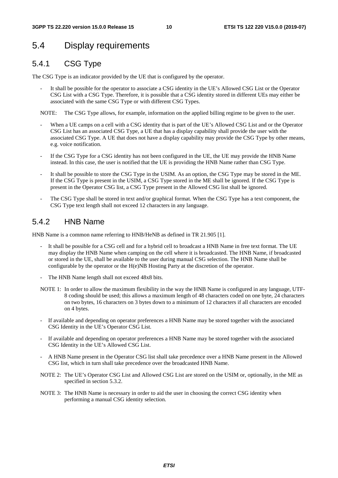### 5.4 Display requirements

### 5.4.1 CSG Type

The CSG Type is an indicator provided by the UE that is configured by the operator.

It shall be possible for the operator to associate a CSG identity in the UE's Allowed CSG List or the Operator CSG List with a CSG Type. Therefore, it is possible that a CSG identity stored in different UEs may either be associated with the same CSG Type or with different CSG Types.

NOTE: The CSG Type allows, for example, information on the applied billing regime to be given to the user.

- When a UE camps on a cell with a CSG identity that is part of the UE's Allowed CSG List and or the Operator CSG List has an associated CSG Type, a UE that has a display capability shall provide the user with the associated CSG Type. A UE that does not have a display capability may provide the CSG Type by other means, e.g. voice notification.
- If the CSG Type for a CSG identity has not been configured in the UE, the UE may provide the HNB Name instead. In this case, the user is notified that the UE is providing the HNB Name rather than CSG Type.
- It shall be possible to store the CSG Type in the USIM. As an option, the CSG Type may be stored in the ME. If the CSG Type is present in the USIM, a CSG Type stored in the ME shall be ignored. If the CSG Type is present in the Operator CSG list, a CSG Type present in the Allowed CSG list shall be ignored.
- The CSG Type shall be stored in text and/or graphical format. When the CSG Type has a text component, the CSG Type text length shall not exceed 12 characters in any language.

### 5.4.2 HNB Name

HNB Name is a common name referring to HNB/HeNB as defined in TR 21.905 [1].

- It shall be possible for a CSG cell and for a hybrid cell to broadcast a HNB Name in free text format. The UE may display the HNB Name when camping on the cell where it is broadcasted. The HNB Name, if broadcasted or stored in the UE, shall be available to the user during manual CSG selection. The HNB Name shall be configurable by the operator or the H(e)NB Hosting Party at the discretion of the operator.
- The HNB Name length shall not exceed 48x8 bits.
- NOTE 1: In order to allow the maximum flexibility in the way the HNB Name is configured in any language, UTF-8 coding should be used; this allows a maximum length of 48 characters coded on one byte, 24 characters on two bytes, 16 characters on 3 bytes down to a minimum of 12 characters if all characters are encoded on 4 bytes.
- If available and depending on operator preferences a HNB Name may be stored together with the associated CSG Identity in the UE's Operator CSG List.
- If available and depending on operator preferences a HNB Name may be stored together with the associated CSG Identity in the UE's Allowed CSG List.
- A HNB Name present in the Operator CSG list shall take precedence over a HNB Name present in the Allowed CSG list, which in turn shall take precedence over the broadcasted HNB Name.
- NOTE 2: The UE's Operator CSG List and Allowed CSG List are stored on the USIM or, optionally, in the ME as specified in section 5.3.2.
- NOTE 3: The HNB Name is necessary in order to aid the user in choosing the correct CSG identity when performing a manual CSG identity selection.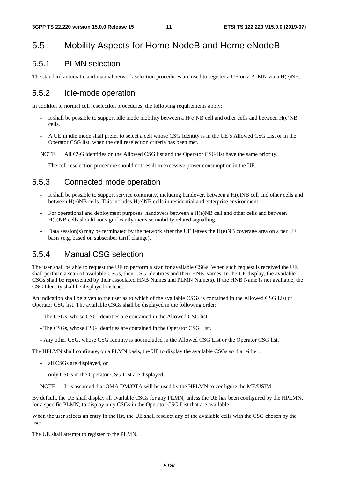### 5.5 Mobility Aspects for Home NodeB and Home eNodeB

#### 5.5.1 PLMN selection

The standard automatic and manual network selection procedures are used to register a UE on a PLMN via a H(e)NB.

#### 5.5.2 Idle-mode operation

In addition to normal cell reselection procedures, the following requirements apply:

- It shall be possible to support idle mode mobility between a  $H(e)NB$  cell and other cells and between  $H(e)NB$ cells.
- A UE in idle mode shall prefer to select a cell whose CSG Identity is in the UE's Allowed CSG List or in the Operator CSG list, when the cell reselection criteria has been met.

NOTE: All CSG identities on the Allowed CSG list and the Operator CSG list have the same priority.

The cell reselection procedure should not result in excessive power consumption in the UE.

#### 5.5.3 Connected mode operation

- It shall be possible to support service continuity, including handover, between a  $H(e)NB$  cell and other cells and between H(e)NB cells. This includes H(e)NB cells in residential and enterprise environment.
- For operational and deployment purposes, handovers between a H(e)NB cell and other cells and between H(e)NB cells should not significantly increase mobility related signalling.
- Data session(s) may be terminated by the network after the UE leaves the H(e)NB coverage area on a per UE basis (e.g. based on subscriber tariff change).

#### 5.5.4 Manual CSG selection

The user shall be able to request the UE to perform a scan for available CSGs. When such request is received the UE shall perform a scan of available CSGs, their CSG Identities and their HNB Names. In the UE display, the available CSGs shall be represented by their associated HNB Names and PLMN Name(s). If the HNB Name is not available, the CSG Identity shall be displayed instead.

An indication shall be given to the user as to which of the available CSGs is contained in the Allowed CSG List or Operator CSG list. The available CSGs shall be displayed in the following order:

- The CSGs, whose CSG Identities are contained in the Allowed CSG list.
- The CSGs, whose CSG Identities are contained in the Operator CSG List.
- Any other CSG, whose CSG Identity is not included in the Allowed CSG List or the Operator CSG list.

The HPLMN shall configure, on a PLMN basis, the UE to display the available CSGs so that either:

- all CSGs are displayed, or
- only CSGs in the Operator CSG List are displayed.
- NOTE: It is assumed that OMA DM/OTA will be used by the HPLMN to configure the ME/USIM

By default, the UE shall display all available CSGs for any PLMN, unless the UE has been configured by the HPLMN, for a specific PLMN, to display only CSGs in the Operator CSG List that are available.

When the user selects an entry in the list, the UE shall reselect any of the available cells with the CSG chosen by the user.

The UE shall attempt to register to the PLMN.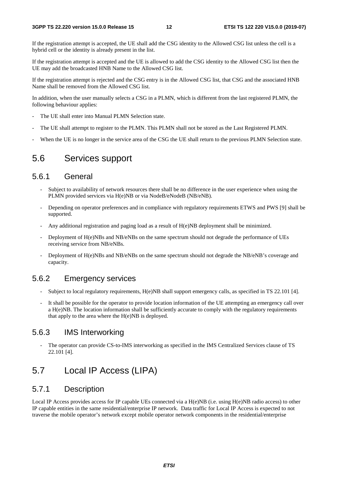If the registration attempt is accepted, the UE shall add the CSG identity to the Allowed CSG list unless the cell is a hybrid cell or the identity is already present in the list.

If the registration attempt is accepted and the UE is allowed to add the CSG identity to the Allowed CSG list then the UE may add the broadcasted HNB Name to the Allowed CSG list.

If the registration attempt is rejected and the CSG entry is in the Allowed CSG list, that CSG and the associated HNB Name shall be removed from the Allowed CSG list.

In addition, when the user manually selects a CSG in a PLMN, which is different from the last registered PLMN, the following behaviour applies:

- The UE shall enter into Manual PLMN Selection state.
- The UE shall attempt to register to the PLMN. This PLMN shall not be stored as the Last Registered PLMN.
- When the UE is no longer in the service area of the CSG the UE shall return to the previous PLMN Selection state.

#### 5.6 Services support

#### 5.6.1 General

- Subject to availability of network resources there shall be no difference in the user experience when using the PLMN provided services via H(e)NB or via NodeB/eNodeB (NB/eNB).
- Depending on operator preferences and in compliance with regulatory requirements ETWS and PWS [9] shall be supported.
- Any additional registration and paging load as a result of  $H(e)NB$  deployment shall be minimized.
- Deployment of H(e)NBs and NB/eNBs on the same spectrum should not degrade the performance of UEs receiving service from NB/eNBs.
- Deployment of H(e)NBs and NB/eNBs on the same spectrum should not degrade the NB/eNB's coverage and capacity.

#### 5.6.2 Emergency services

- Subject to local regulatory requirements, H(e)NB shall support emergency calls, as specified in TS 22.101 [4].
- It shall be possible for the operator to provide location information of the UE attempting an emergency call over a H(e)NB. The location information shall be sufficiently accurate to comply with the regulatory requirements that apply to the area where the  $H(e)NB$  is deployed.

#### 5.6.3 IMS Interworking

The operator can provide CS-to-IMS interworking as specified in the IMS Centralized Services clause of TS 22.101 [4].

### 5.7 Local IP Access (LIPA)

#### 5.7.1 Description

Local IP Access provides access for IP capable UEs connected via a H(e)NB (i.e. using H(e)NB radio access) to other IP capable entities in the same residential/enterprise IP network. Data traffic for Local IP Access is expected to not traverse the mobile operator's network except mobile operator network components in the residential/enterprise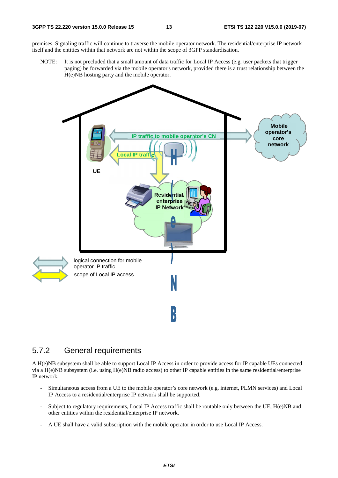premises. Signaling traffic will continue to traverse the mobile operator network. The residential/enterprise IP network itself and the entities within that network are not within the scope of 3GPP standardisation.

NOTE: It is not precluded that a small amount of data traffic for Local IP Access (e.g. user packets that trigger paging) be forwarded via the mobile operator's network, provided there is a trust relationship between the H(e)NB hosting party and the mobile operator.



#### 5.7.2 General requirements

A H(e)NB subsystem shall be able to support Local IP Access in order to provide access for IP capable UEs connected via a H(e)NB subsystem (i.e. using H(e)NB radio access) to other IP capable entities in the same residential/enterprise IP network.

- Simultaneous access from a UE to the mobile operator's core network (e.g. internet, PLMN services) and Local IP Access to a residential/enterprise IP network shall be supported.
- Subject to regulatory requirements, Local IP Access traffic shall be routable only between the UE, H(e)NB and other entities within the residential/enterprise IP network.
- A UE shall have a valid subscription with the mobile operator in order to use Local IP Access.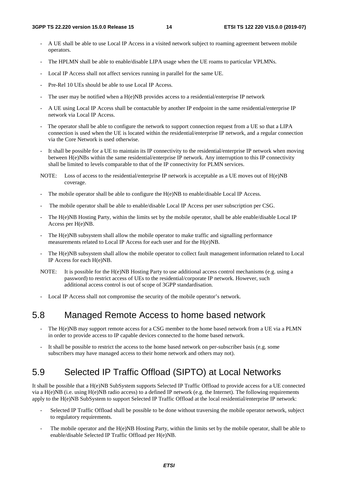- A UE shall be able to use Local IP Access in a visited network subject to roaming agreement between mobile operators.
- The HPLMN shall be able to enable/disable LIPA usage when the UE roams to particular VPLMNs.
- Local IP Access shall not affect services running in parallel for the same UE.
- Pre-Rel 10 UEs should be able to use Local IP Access.
- The user may be notified when a  $H(e)NB$  provides access to a residential/enterprise IP network
- A UE using Local IP Access shall be contactable by another IP endpoint in the same residential/enterprise IP network via Local IP Access.
- The operator shall be able to configure the network to support connection request from a UE so that a LIPA connection is used when the UE is located within the residential/enterprise IP network, and a regular connection via the Core Network is used otherwise.
- It shall be possible for a UE to maintain its IP connectivity to the residential/enterprise IP network when moving between H(e)NBs within the same residential/enterprise IP network. Any interruption to this IP connectivity shall be limited to levels comparable to that of the IP connectivity for PLMN services.
- NOTE: Loss of access to the residential/enterprise IP network is acceptable as a UE moves out of H(e)NB coverage.
- The mobile operator shall be able to configure the H(e)NB to enable/disable Local IP Access.
- The mobile operator shall be able to enable/disable Local IP Access per user subscription per CSG.
- The H(e)NB Hosting Party, within the limits set by the mobile operator, shall be able enable/disable Local IP Access per H(e)NB.
- The H(e)NB subsystem shall allow the mobile operator to make traffic and signalling performance measurements related to Local IP Access for each user and for the H(e)NB.
- The H(e)NB subsystem shall allow the mobile operator to collect fault management information related to Local IP Access for each H(e)NB.
- NOTE: It is possible for the H(e)NB Hosting Party to use additional access control mechanisms (e.g. using a password) to restrict access of UEs to the residential/corporate IP network. However, such additional access control is out of scope of 3GPP standardisation.
- Local IP Access shall not compromise the security of the mobile operator's network.

### 5.8 Managed Remote Access to home based network

- The H(e)NB may support remote access for a CSG member to the home based network from a UE via a PLMN in order to provide access to IP capable devices connected to the home based network.
- It shall be possible to restrict the access to the home based network on per-subscriber basis (e.g. some subscribers may have managed access to their home network and others may not).

### 5.9 Selected IP Traffic Offload (SIPTO) at Local Networks

It shall be possible that a H(e)NB SubSystem supports Selected IP Traffic Offload to provide access for a UE connected via a H(e)NB (i.e. using H(e)NB radio access) to a defined IP network (e.g. the Internet). The following requirements apply to the H(e)NB SubSystem to support Selected IP Traffic Offload at the local residential/enterprise IP network:

- Selected IP Traffic Offload shall be possible to be done without traversing the mobile operator network, subject to regulatory requirements.
- The mobile operator and the  $H(e)NB$  Hosting Party, within the limits set by the mobile operator, shall be able to enable/disable Selected IP Traffic Offload per H(e)NB.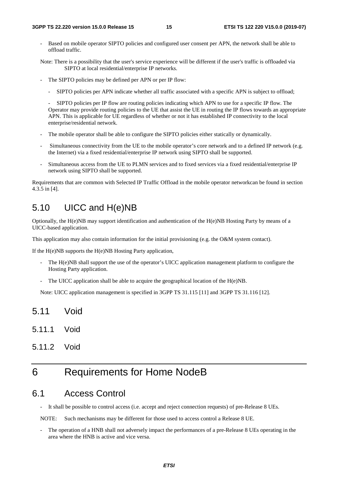Based on mobile operator SIPTO policies and configured user consent per APN, the network shall be able to offload traffic.

Note: There is a possibility that the user's service experience will be different if the user's traffic is offloaded via SIPTO at local residential/enterprise IP networks.

- The SIPTO policies may be defined per APN or per IP flow:
	- SIPTO policies per APN indicate whether all traffic associated with a specific APN is subject to offload;

 - SIPTO policies per IP flow are routing policies indicating which APN to use for a specific IP flow. The Operator may provide routing policies to the UE that assist the UE in routing the IP flows towards an appropriate APN. This is applicable for UE regardless of whether or not it has established IP connectivity to the local enterprise/residential network.

- The mobile operator shall be able to configure the SIPTO policies either statically or dynamically.
- Simultaneous connectivity from the UE to the mobile operator's core network and to a defined IP network (e.g. the Internet) via a fixed residential/enterprise IP network using SIPTO shall be supported.
- Simultaneous access from the UE to PLMN services and to fixed services via a fixed residential/enterprise IP network using SIPTO shall be supported.

Requirements that are common with Selected IP Traffic Offload in the mobile operator networkcan be found in section 4.3.5 in [4].

### 5.10 UICC and H(e)NB

Optionally, the H(e)NB may support identification and authentication of the H(e)NB Hosting Party by means of a UICC-based application.

This application may also contain information for the initial provisioning (e.g. the O&M system contact).

If the H(e)NB supports the H(e)NB Hosting Party application,

- The H(e)NB shall support the use of the operator's UICC application management platform to configure the Hosting Party application.
- The UICC application shall be able to acquire the geographical location of the  $H(e)NB$ .

Note: UICC application management is specified in 3GPP TS 31.115 [11] and 3GPP TS 31.116 [12].

- 5.11 Void
- 5.11.1 Void
- 5.11.2 Void

### 6 Requirements for Home NodeB

#### 6.1 Access Control

It shall be possible to control access (i.e. accept and reject connection requests) of pre-Release 8 UEs.

NOTE: Such mechanisms may be different for those used to access control a Release 8 UE.

The operation of a HNB shall not adversely impact the performances of a pre-Release 8 UEs operating in the area where the HNB is active and vice versa.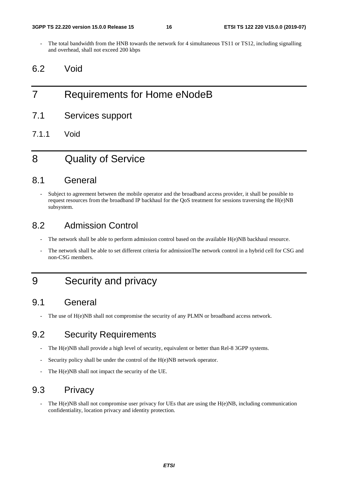The total bandwidth from the HNB towards the network for 4 simultaneous TS11 or TS12, including signalling and overhead, shall not exceed 200 kbps

### 6.2 Void

## 7 Requirements for Home eNodeB

- 7.1 Services support
- 7.1.1 Void

### 8 Quality of Service

### 8.1 General

Subject to agreement between the mobile operator and the broadband access provider, it shall be possible to request resources from the broadband IP backhaul for the QoS treatment for sessions traversing the  $H(e)NB$ subsystem.

### 8.2 Admission Control

- The network shall be able to perform admission control based on the available H(e)NB backhaul resource.
- The network shall be able to set different criteria for admissionThe network control in a hybrid cell for CSG and non-CSG members.

## 9 Security and privacy

### 9.1 General

The use of  $H(e)NB$  shall not compromise the security of any PLMN or broadband access network.

### 9.2 Security Requirements

- The H(e)NB shall provide a high level of security, equivalent or better than Rel-8 3GPP systems.
- Security policy shall be under the control of the H(e)NB network operator.
- The H(e)NB shall not impact the security of the UE.

### 9.3 Privacy

The  $H(e)NB$  shall not compromise user privacy for UEs that are using the  $H(e)NB$ , including communication confidentiality, location privacy and identity protection.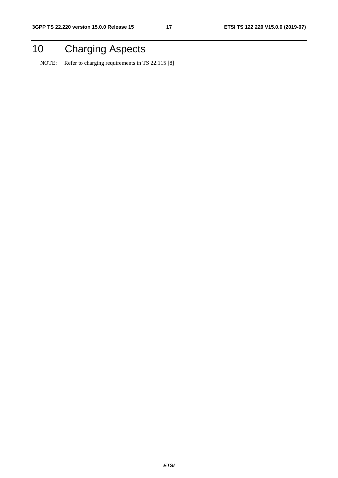## 10 Charging Aspects

NOTE: Refer to charging requirements in TS 22.115 [8]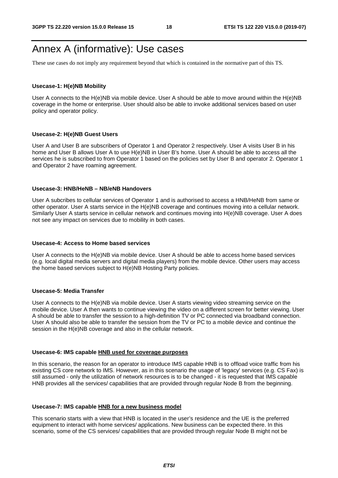## Annex A (informative): Use cases

These use cases do not imply any requirement beyond that which is contained in the normative part of this TS.

#### **Usecase-1: H(e)NB Mobility**

User A connects to the H(e)NB via mobile device. User A should be able to move around within the H(e)NB coverage in the home or enterprise. User should also be able to invoke additional services based on user policy and operator policy.

#### **Usecase-2: H(e)NB Guest Users**

User A and User B are subscribers of Operator 1 and Operator 2 respectively. User A visits User B in his home and User B allows User A to use H(e)NB in User B's home. User A should be able to access all the services he is subscribed to from Operator 1 based on the policies set by User B and operator 2. Operator 1 and Operator 2 have roaming agreement.

#### **Usecase-3: HNB/HeNB – NB/eNB Handovers**

User A subcribes to cellular services of Operator 1 and is authorised to access a HNB/HeNB from same or other operator. User A starts service in the H(e)NB coverage and continues moving into a cellular network. Similarly User A starts service in cellular network and continues moving into H(e)NB coverage. User A does not see any impact on services due to mobility in both cases.

#### **Usecase-4: Access to Home based services**

User A connects to the H(e)NB via mobile device. User A should be able to access home based services (e.g. local digital media servers and digital media players) from the mobile device. Other users may access the home based services subject to H(e)NB Hosting Party policies.

#### **Usecase-5: Media Transfer**

User A connects to the H(e)NB via mobile device. User A starts viewing video streaming service on the mobile device. User A then wants to continue viewing the video on a different screen for better viewing. User A should be able to transfer the session to a high-definition TV or PC connected via broadband connection. User A should also be able to transfer the session from the TV or PC to a mobile device and continue the session in the H(e)NB coverage and also in the cellular network.

#### **Usecase-6: IMS capable HNB used for coverage purposes**

In this scenario, the reason for an operator to introduce IMS capable HNB is to offload voice traffic from his existing CS core network to IMS. However, as in this scenario the usage of 'legacy' services (e.g. CS Fax) is still assumed - only the utilization of network resources is to be changed - it is requested that IMS capable HNB provides all the services/ capabilities that are provided through regular Node B from the beginning.

#### **Usecase-7: IMS capable HNB for a new business model**

This scenario starts with a view that HNB is located in the user's residence and the UE is the preferred equipment to interact with home services/ applications. New business can be expected there. In this scenario, some of the CS services/ capabilities that are provided through regular Node B might not be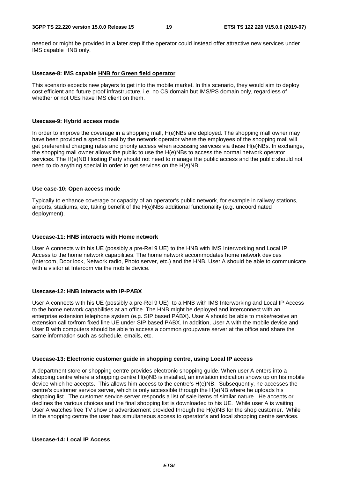needed or might be provided in a later step if the operator could instead offer attractive new services under IMS capable HNB only.

#### **Usecase-8: IMS capable HNB for Green field operator**

This scenario expects new players to get into the mobile market. In this scenario, they would aim to deploy cost efficient and future proof infrastructure, i.e. no CS domain but IMS/PS domain only, regardless of whether or not UEs have IMS client on them.

#### **Usecase-9: Hybrid access mode**

In order to improve the coverage in a shopping mall, H(e)NBs are deployed. The shopping mall owner may have been provided a special deal by the network operator where the employees of the shopping mall will get preferential charging rates and priority access when accessing services via these H(e)NBs. In exchange, the shopping mall owner allows the public to use the H(e)NBs to access the normal network operator services. The H(e)NB Hosting Party should not need to manage the public access and the public should not need to do anything special in order to get services on the H(e)NB.

#### **Use case-10: Open access mode**

Typically to enhance coverage or capacity of an operator's public network, for example in railway stations, airports, stadiums, etc, taking benefit of the H(e)NBs additional functionality (e.g. uncoordinated deployment).

#### **Usecase-11: HNB interacts with Home network**

User A connects with his UE (possibly a pre-Rel 9 UE) to the HNB with IMS Interworking and Local IP Access to the home network capabilities. The home network accommodates home network devices (Intercom, Door lock, Network radio, Photo server, etc.) and the HNB. User A should be able to communicate with a visitor at Intercom via the mobile device.

#### **Usecase-12: HNB interacts with IP-PABX**

User A connects with his UE (possibly a pre-Rel 9 UE) to a HNB with IMS Interworking and Local IP Access to the home network capabilities at an office. The HNB might be deployed and interconnect with an enterprise extension telephone system (e.g. SIP based PABX). User A should be able to make/receive an extension call to/from fixed line UE under SIP based PABX. In addition, User A with the mobile device and User B with computers should be able to access a common groupware server at the office and share the same information such as schedule, emails, etc.

#### **Usecase-13: Electronic customer guide in shopping centre, using Local IP access**

A department store or shopping centre provides electronic shopping guide. When user A enters into a shopping centre where a shopping centre H(e)NB is installed, an invitation indication shows up on his mobile device which he accepts. This allows him access to the centre's H(e)NB. Subsequently, he accesses the centre's customer service server, which is only accessible through the H(e)NB where he uploads his shopping list. The customer service server responds a list of sale items of similar nature. He accepts or declines the various choices and the final shopping list is downloaded to his UE. While user A is waiting, User A watches free TV show or advertisement provided through the H(e)NB for the shop customer. While in the shopping centre the user has simultaneous access to operator's and local shopping centre services.

#### **Usecase-14: Local IP Access**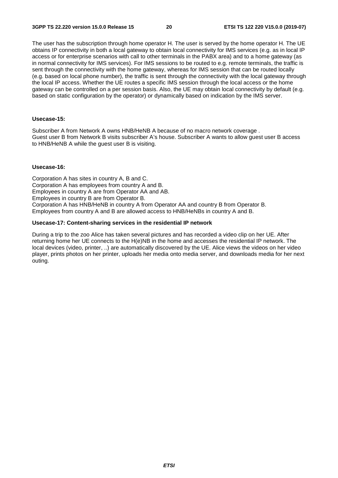The user has the subscription through home operator H. The user is served by the home operator H. The UE obtains IP connectivity in both a local gateway to obtain local connectivity for IMS services (e.g. as in local IP access or for enterprise scenarios with call to other terminals in the PABX area) and to a home gateway (as in normal connectivity for IMS services). For IMS sessions to be routed to e.g. remote terminals, the traffic is sent through the connectivity with the home gateway, whereas for IMS session that can be routed locally (e.g. based on local phone number), the traffic is sent through the connectivity with the local gateway through the local IP access. Whether the UE routes a specific IMS session through the local access or the home gateway can be controlled on a per session basis. Also, the UE may obtain local connectivity by default (e.g. based on static configuration by the operator) or dynamically based on indication by the IMS server.

#### **Usecase-15:**

Subscriber A from Network A owns HNB/HeNB A because of no macro network coverage . Guest user B from Network B visits subscriber A's house. Subscriber A wants to allow guest user B access to HNB/HeNB A while the guest user B is visiting.

#### **Usecase-16:**

Corporation A has sites in country A, B and C. Corporation A has employees from country A and B. Employees in country A are from Operator AA and AB. Employees in country B are from Operator B. Corporation A has HNB/HeNB in country A from Operator AA and country B from Operator B. Employees from country A and B are allowed access to HNB/HeNBs in country A and B.

#### **Usecase-17: Content-sharing services in the residential IP network**

During a trip to the zoo Alice has taken several pictures and has recorded a video clip on her UE. After returning home her UE connects to the H(e)NB in the home and accesses the residential IP network. The local devices (video, printer, ..) are automatically discovered by the UE. Alice views the videos on her video player, prints photos on her printer, uploads her media onto media server, and downloads media for her next outing.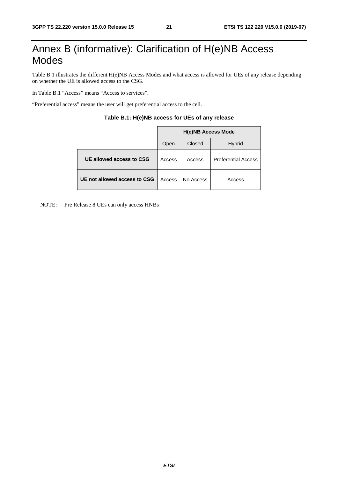## Annex B (informative): Clarification of H(e)NB Access Modes

Table B.1 illustrates the different H(e)NB Access Modes and what access is allowed for UEs of any release depending on whether the UE is allowed access to the CSG.

In Table B.1 "Access" means "Access to services".

"Preferential access" means the user will get preferential access to the cell.

|                              | <b>H(e)NB Access Mode</b> |           |                            |  |  |  |
|------------------------------|---------------------------|-----------|----------------------------|--|--|--|
|                              | Open                      | Closed    | <b>Hybrid</b>              |  |  |  |
| UE allowed access to CSG     | Access                    | Access    | <b>Preferential Access</b> |  |  |  |
| UE not allowed access to CSG | Access                    | No Access | Access                     |  |  |  |

#### **Table B.1: H(e)NB access for UEs of any release**

NOTE: Pre Release 8 UEs can only access HNBs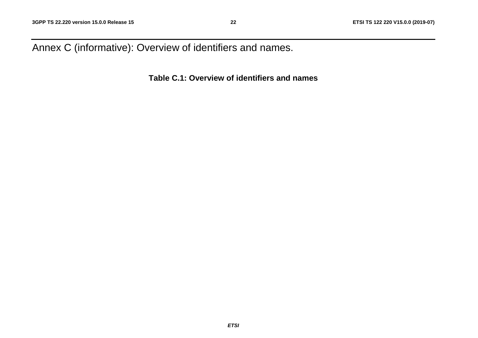Annex C (informative): Overview of identifiers and names.

**Table C.1: Overview of identifiers and names**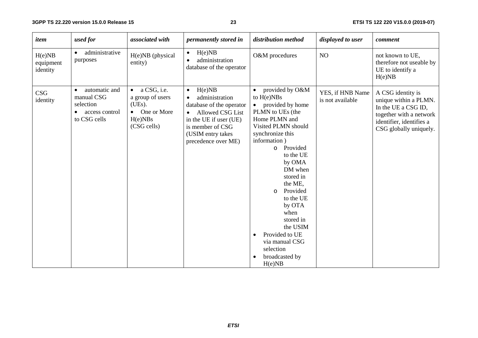#### **23 ETSI TS 122 220 V15.0.0 (2019-07)**

| item                            | used for                                                                                             | associated with                                                                                   | permanently stored in                                                                                                                                                                          | distribution method                                                                                                                                                                                                                                                                                                                                                                                               | displayed to user                    | comment                                                                                                                                            |
|---------------------------------|------------------------------------------------------------------------------------------------------|---------------------------------------------------------------------------------------------------|------------------------------------------------------------------------------------------------------------------------------------------------------------------------------------------------|-------------------------------------------------------------------------------------------------------------------------------------------------------------------------------------------------------------------------------------------------------------------------------------------------------------------------------------------------------------------------------------------------------------------|--------------------------------------|----------------------------------------------------------------------------------------------------------------------------------------------------|
| H(e)NB<br>equipment<br>identity | administrative<br>purposes                                                                           | H(e)NB (physical<br>entity)                                                                       | H(e)NB<br>$\bullet$<br>administration<br>$\bullet$<br>database of the operator                                                                                                                 | O&M procedures                                                                                                                                                                                                                                                                                                                                                                                                    | NO                                   | not known to UE,<br>therefore not useable by<br>UE to identify a<br>H(e)NB                                                                         |
| <b>CSG</b><br>identity          | automatic and<br>$\bullet$<br>manual CSG<br>selection<br>access control<br>$\bullet$<br>to CSG cells | a CSG, i.e.<br>$\bullet$<br>a group of users<br>(UEs).<br>• One or More<br>H(e)NBs<br>(CSG cells) | H(e)NB<br>$\bullet$<br>administration<br>$\bullet$<br>database of the operator<br>• Allowed CSG List<br>in the UE if user (UE)<br>is member of CSG<br>(USIM entry takes<br>precedence over ME) | provided by O&M<br>to $H(e)NBs$<br>provided by home<br>$\bullet$<br>PLMN to UEs (the<br>Home PLMN and<br>Visited PLMN should<br>synchronize this<br>information)<br>o Provided<br>to the UE<br>by OMA<br>DM when<br>stored in<br>the ME,<br>Provided<br>$\circ$<br>to the UE<br>by OTA<br>when<br>stored in<br>the USIM<br>Provided to UE<br>$\bullet$<br>via manual CSG<br>selection<br>broadcasted by<br>H(e)NB | YES, if HNB Name<br>is not available | A CSG identity is<br>unique within a PLMN.<br>In the UE a CSG ID,<br>together with a network<br>identifier, identifies a<br>CSG globally uniquely. |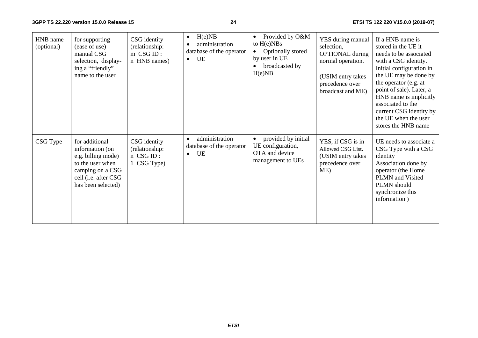**3GPP TS 22.220 version 15.0.0 Release 15**

#### **24 ETSI TS 122 220 V15.0.0 (2019-07)**

| HNB name<br>(optional) | for supporting<br>(ease of use)<br>manual CSG<br>selection, display-<br>ing a "friendly"<br>name to the user                                  | CSG identity<br>(relationship:<br>m CSG ID:<br>n HNB names) | H(e)NB<br>$\bullet$<br>administration<br>$\bullet$<br>database of the operator<br>UE<br>$\bullet$ | Provided by O&M<br>$\bullet$<br>to $H(e)NBs$<br>Optionally stored<br>by user in UE<br>broadcasted by<br>H(e)NB | YES during manual<br>selection,<br><b>OPTIONAL</b> during<br>normal operation.<br>(USIM entry takes<br>precedence over<br>broadcast and ME) | If a HNB name is<br>stored in the UE it<br>needs to be associated<br>with a CSG identity.<br>Initial configuration in<br>the UE may be done by<br>the operator (e.g. at<br>point of sale). Later, a<br>HNB name is implicitly<br>associated to the<br>current CSG identity by<br>the UE when the user<br>stores the HNB name |
|------------------------|-----------------------------------------------------------------------------------------------------------------------------------------------|-------------------------------------------------------------|---------------------------------------------------------------------------------------------------|----------------------------------------------------------------------------------------------------------------|---------------------------------------------------------------------------------------------------------------------------------------------|------------------------------------------------------------------------------------------------------------------------------------------------------------------------------------------------------------------------------------------------------------------------------------------------------------------------------|
| CSG Type               | for additional<br>information (on<br>e.g. billing mode)<br>to the user when<br>camping on a CSG<br>cell (i.e. after CSG<br>has been selected) | CSG identity<br>(relationship:<br>n CSG ID:<br>1 CSG Type)  | administration<br>$\bullet$<br>database of the operator<br>UE<br>$\bullet$                        | provided by initial<br>UE configuration,<br>OTA and device<br>management to UEs                                | YES, if CSG is in<br>Allowed CSG List.<br>(USIM entry takes<br>precedence over<br>ME)                                                       | UE needs to associate a<br>CSG Type with a CSG<br>identity<br>Association done by<br>operator (the Home<br>PLMN and Visited<br>PLMN should<br>synchronize this<br>information)                                                                                                                                               |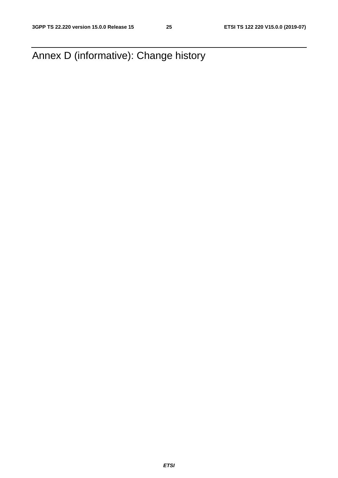Annex D (informative): Change history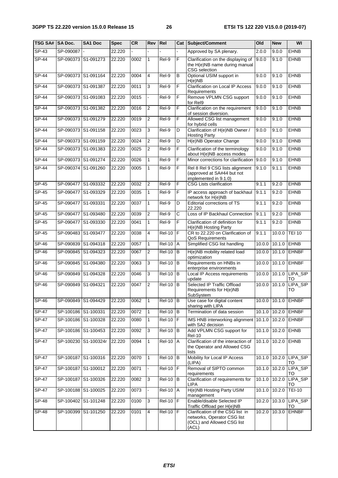| TSG SA# SA Doc. |             | <b>SA1 Doc</b>       | <b>Spec</b> | CR   | Rev            | Rel                  | Cat          | Subject/Comment                                                                                        | O <sub>Id</sub> | <b>New</b>    | WI                           |
|-----------------|-------------|----------------------|-------------|------|----------------|----------------------|--------------|--------------------------------------------------------------------------------------------------------|-----------------|---------------|------------------------------|
| $SP-43$         | SP-090087 - |                      | 22.220      |      |                |                      |              | Approved by SA plenary.                                                                                | 2.0.0           | 9.0.0         | <b>EHNB</b>                  |
| $SP-44$         |             | SP-090373 S1-091273  | 22.220      | 0002 | 1              | Rel-9                | F            | Clarification on the displaying of<br>the H(e)NB name during manual<br>CSG selection                   | 9.0.0           | 9.1.0         | <b>EHNB</b>                  |
| <b>SP-44</b>    |             | SP-090373 S1-091164  | 22.220      | 0004 | 4              | Rel-9                | В            | Optional USIM support in<br>H(e)NB                                                                     | 9.0.0           | 9.1.0         | <b>EHNB</b>                  |
| <b>SP-44</b>    |             | SP-090373 S1-091387  | 22.220      | 0011 | 3              | Rel-9                | F            | <b>Clarification on Local IP Access</b><br>Requirements                                                | 9.0.0           | 9.1.0         | <b>EHNB</b>                  |
| $SP-44$         |             | SP-090373 S1-091083  | 22.220      | 0015 |                | Rel-9                | F            | Remove VPLMN CSG support<br>for Rel9                                                                   | 9.0.0           | 9.1.0         | <b>EHNB</b>                  |
| $SP-44$         |             | SP-090373 S1-091382  | 22.220      | 0016 | $\overline{2}$ | $Rel-9$              | F            | Clarification on the requirement<br>of session diversion.                                              | 9.0.0           | 9.1.0         | <b>EHNB</b>                  |
| $SP-44$         |             | SP-090373 S1-091279  | 22.220      | 0019 | $\overline{2}$ | Rel-9                | F            | Allowed CSG list management<br>for hybrid cells                                                        | 9.0.0           | 9.1.0         | <b>EHNB</b>                  |
| $SP-44$         |             | SP-090373 S1-091158  | 22.220      | 0023 | $\mathbf{3}$   | Rel-9                | D            | Clarification of H(e)NB Owner /<br><b>Hosting Party</b>                                                | 9.0.0           | 9.1.0         | <b>EHNB</b>                  |
| <b>SP-44</b>    |             | SP-090373 S1-091159  | 22.220      | 0024 | $\overline{2}$ | Rel-9                | D            | H(e)NB Operator Change                                                                                 | 9.0.0           | 9.1.0         | <b>EHNB</b>                  |
| <b>SP-44</b>    |             | SP-090373 S1-091383  | 22.220      | 0025 | 2              | Rel-9                | F            | Clarification of the terminology<br>about H(e)NB access modes                                          | 9.0.0           | 9.1.0         | <b>EHNB</b>                  |
| $SP-44$         |             | SP-090373 S1-091274  | 22.220      | 0026 | 1              | Rel-9                | F            | Minor corrections for clarification                                                                    | 9.0.0           | 9.1.0         | <b>EHNB</b>                  |
| $SP-44$         |             | SP-090374 S1-091260  | 22.220      | 0005 | 1              | Rel-9                | F            | Rel 8 Rel 9 CSG lists alignment<br>(approved at SA#44 but not<br>implemented in 9.1.0)                 | 9.1.0           | 9.1.1         | <b>EHNB</b>                  |
| SP-45           |             | SP-090477 S1-093332  | 22.220      | 0032 | $\overline{c}$ | Rel-9                | F            | <b>CSG Lists clarification</b>                                                                         | 9.1.1           | 9.2.0         | <b>EHNB</b>                  |
| SP-45           |             | SP-090477 S1-093329  | 22.220      | 0035 | 1              | Rel-9                | F            | IP access approach of backhaul<br>network for H(e)NB                                                   | 9.1.1           | 9.2.0         | <b>EHNB</b>                  |
| <b>SP-45</b>    | SP-090477   | S1-093331            | 22.220      | 0037 | 1              | Rel-9                | D            | Editorial corrections of TS<br>22.220                                                                  | 9.1.1           | 9.2.0         | <b>EHNB</b>                  |
| $SP-45$         |             | SP-090477 S1-093480  | 22.220      | 0039 | $\overline{2}$ | Rel-9                | C            | Loss of IP Backhaul Connection                                                                         | 9.1.1           | 9.2.0         | <b>EHNB</b>                  |
| $SP-45$         |             | SP-090477 S1-093330  | 22.220      | 0041 | 1              | Rel-9                | F            | Clarification of definition for<br>H(e)NB Hosting Party                                                | 9.1.1           | 9.2.0         | <b>EHNB</b>                  |
| $SP-45$         |             | SP-090483 S1-093477  | 22.220      | 0038 | 4              | <b>Rel-10</b>        | F            | CR to 22.220 on Clarification of<br>QoS Requirements                                                   | 9.1.1           | 10.0.0        | <b>TEI 10</b>                |
| <b>SP-46</b>    |             | SP-090839 S1-094318  | 22.220      | 0057 | 1              | <b>Rel-10</b>        | A            | Simplified CSG list handling                                                                           | 10.0.0          | 10.1.0        | <b>EHNB</b>                  |
| SP-46           |             | SP-090845 S1-094323  | 22.220      | 0067 | 2              | <b>Rel-10</b>        | B            | H(e)NB mobility related load<br>optimization                                                           | 10.0.0          | 10.1.0        | <b>EHNBF</b>                 |
| SP-46           |             | SP-090845 S1-094380  | 22.220      | 0063 | $\mathbf{3}$   | <b>Rel-10</b>        | $\, {\bf B}$ | Requirements on HNBs in<br>enterprise environments                                                     | 10.0.0          |               | 10.1.0 EHNBF                 |
| SP-46           |             | SP-090849 S1-094328  | 22.220      | 0046 | 3              | <b>Rel-10</b>        | B            | Local IP Access requirements<br>update                                                                 |                 |               | 10.0.0 10.1.0 LIPA_SIP<br>TO |
| SP-46           | SP-090849   | S1-094321            | 22.220      | 0047 | 2              | $\overline{Rel-10}$  | B            | Selected IP Traffic Offload<br>Requirements for H(e)NB<br>SubSystem                                    | 10.0.0          | 10.1.0        | LIPA_SIP<br>TO               |
| SP-46           |             | SP-090849 S1-094429  | 22.220      | 0062 | 1              | <b>Rel-10</b>        | l B          | Use case for digital content<br>sharing with LIPA                                                      |                 |               | 10.0.0 10.1.0 EHNBF          |
| $SP-47$         |             | SP-100186 S1-100331  | 22.220      | 0072 | 1              | <b>Rel-10</b>        | B            | Termination of data session                                                                            |                 |               | 10.1.0 10.2.0 EHNBF          |
| <b>SP-47</b>    |             | SP-100186 S1-100328  | 22.220      | 0080 | $\mathbf{1}$   | <b>Rel-10</b>        | F            | IMS HNB interworking alignment 10.1.0 10.2.0<br>with SA2 decision                                      |                 |               | <b>EHNBF</b>                 |
| <b>SP-47</b>    |             | SP-100186 S1-100453  | 22.220      | 0092 | $\mathbf{3}$   | <b>Rel-10</b>        | B            | Add VPLMN CSG support for<br><b>Rel-10</b>                                                             |                 | 10.1.0 10.2.0 | <b>EHNB</b>                  |
| <b>SP-47</b>    |             | SP-100230 S1-100324r | 22.220      | 0094 | $\mathbf{1}$   | $\overline{R}$ el-10 | <b>A</b>     | Clarification of the interaction of<br>the Operator and Allowed CSG<br>lists                           |                 | 10.1.0 10.2.0 | <b>EHNB</b>                  |
| <b>SP-47</b>    |             | SP-100187 S1-100316  | 22.220      | 0070 | $\mathbf{1}$   | <b>Rel-10</b>        | B            | Mobility for Local IP Access<br>(LIPA)                                                                 |                 |               | 10.1.0 10.2.0 LIPA_SIP<br>TO |
| <b>SP-47</b>    |             | SP-100187 S1-100012  | 22.220      | 0071 |                | <b>Rel-10</b>        | F            | Removal of SIPTO common<br>requirements                                                                |                 |               | 10.1.0 10.2.0 LIPA_SIP<br>TO |
| SP-47           |             | SP-100187 S1-100326  | 22.220      | 0082 | 3              | <b>Rel-10</b>        | B            | Clarification of requirements for<br><b>LIPA</b>                                                       |                 | 10.1.0 10.2.0 | LIPA_SIP<br>то               |
| <b>SP-47</b>    |             | SP-100188 S1-100025  | 22.220      | 0073 |                | <b>Rel-10</b>        | Α            | H(e)NB Hosting Party USIM<br>management                                                                | 10.1.0          | 10.2.0        | <b>TEI-10</b>                |
| <b>SP-48</b>    |             | SP-100402 S1-101248  | 22.220      | 0100 | 3              | <b>Rel-10</b>        | F            | Enable/disable Selected IP<br>Traffic Offload per H(e)NB                                               |                 | 10.2.0 10.3.0 | LIPA_SIP<br>TO               |
| $SP-48$         |             | SP-100399 S1-101250  | 22.220      | 0101 | 4              | <b>Rel-10</b>        | Ē            | Clarification of the CSG list in<br>networks, Operator CSG list<br>(OCL) and Allowed CSG list<br>(ACL) |                 | 10.2.0 10.3.0 | <b>EHNBF</b>                 |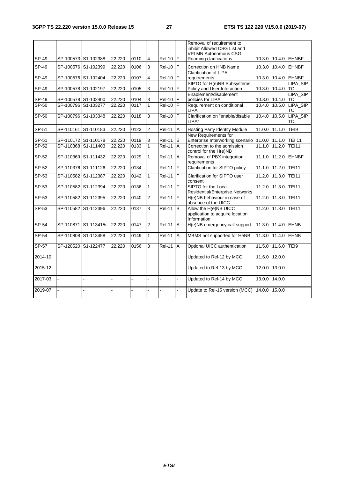|                |                                            |                      |        |                |                   |                           |                     | Removal of requirement to                                       |               |                                |                               |
|----------------|--------------------------------------------|----------------------|--------|----------------|-------------------|---------------------------|---------------------|-----------------------------------------------------------------|---------------|--------------------------------|-------------------------------|
|                |                                            |                      |        |                |                   |                           |                     | inhibit Allowed CSG List and                                    |               |                                |                               |
| SP-49          | SP-100573 S1-102388                        |                      | 22.220 | 0110           | 4                 | Rel-10   F                |                     | <b>VPLMN Autonomous CSG</b><br>Roaming clarifications           |               |                                | 10.3.0 10.4.0 EHNBF           |
|                |                                            |                      |        |                |                   |                           |                     |                                                                 |               |                                |                               |
| SP-49          | SP-100576 S1-102399                        |                      | 22.220 | 0106           | 3                 | <b>Rel-10</b>             | F                   | Correction on HNB Name                                          |               | 10.3.0 10.4.0                  | <b>EHNBF</b>                  |
|                |                                            |                      |        |                |                   |                           | F                   | <b>Clarification of LIPA</b>                                    |               |                                |                               |
| SP-49          | SP-100576 S1-102404                        |                      | 22.220 | 0107           | 4                 | <b>Rel-10</b>             |                     | requirements<br>SIPTO for H(e)NB Subsystems                     |               | 10.3.0 10.4.0                  | <b>EHNBF</b><br>LIPA_SIP      |
| SP-49          | SP-100578 S1-102197                        |                      | 22.220 | 0105           | 3                 | <b>Rel-10</b>             | F                   | Policy and User Interaction                                     |               | 10.3.0 10.4.0                  | TO                            |
|                |                                            |                      |        |                |                   |                           |                     | Enablement/disablement                                          |               |                                | LIPA_SIP                      |
| SP-49          | SP-100578 S1-102400                        |                      | 22.220 | 0104           | 3                 | <b>Rel-10</b>             | $\mathsf F$         | policies for LIPA                                               |               | 10.3.0 10.4.0                  | <b>TO</b>                     |
| SP-50          | SP-100796 S1-103277                        |                      | 22.220 | 0117           | $\mathbf{1}$      | $Rel-10$ F                |                     | Requirement on conditional                                      |               | 10.4.0 10.5.0                  | <b>LIPA SIP</b>               |
|                |                                            |                      |        |                |                   |                           |                     | <b>LIPA</b>                                                     |               |                                | TO                            |
| $SP-50$        | SP-100796 S1-103348                        |                      | 22.220 | 0118           | 3                 | $Rel-10$                  |                     | Clarification on "enable/disable<br>LIPA"                       | 10.4.0        | 10.5.0                         | LIPA_SIP                      |
|                |                                            |                      |        |                |                   |                           |                     |                                                                 |               |                                | TO                            |
| SP-51          | SP-110161 S1-110183                        |                      | 22.220 | 0123           | $\overline{2}$    | <b>Rel-11</b>             | $\sf A$             | Hosting Party Identity Module                                   |               | 11.0.0 11.1.0                  | TEI9                          |
|                |                                            |                      |        |                |                   |                           |                     | New Requirements for                                            |               |                                |                               |
| SP-51<br>SP-52 | SP-110172 S1-110178<br>SP-110368 S1-111403 |                      | 22.220 | 0119<br>0133   | 3<br>$\mathbf{1}$ | <b>Rel-11</b><br>$ReI-11$ | B<br>$\overline{A}$ | Enterprise Interworking scenario<br>Correction to the admission |               | 11.0.0 11.1.0<br>11.1.0 11.2.0 | <b>TEI 11</b><br><b>TEI11</b> |
|                |                                            |                      | 22.220 |                |                   |                           |                     | control for the H(e)NB                                          |               |                                |                               |
| $SP-52$        | SP-110369 S1-111432                        |                      | 22.220 | 0129           | $\mathbf{1}$      | <b>Rel-11</b>             | $\overline{A}$      | Removal of PBX integration                                      | 11.1.0        | 11.2.0                         | <b>EHNBF</b>                  |
|                |                                            |                      |        |                |                   |                           |                     | requirements                                                    |               |                                |                               |
| $SP-52$        | SP-110376 S1-111126                        |                      | 22.220 | 0134           |                   | <b>Rel-11</b>             | F                   | <b>Clarification for SIPTO policy</b>                           | 11.1.0        | 11.2.0                         | <b>TEI11</b>                  |
| $SP-53$        | SP-110582 S1-112387                        |                      | 22.220 | 0142           | $\mathbf{1}$      | $Rel-11$ F                |                     | Clarification for SIPTO user                                    | 11.2.0        | 11.3.0                         | <b>TEI11</b>                  |
| $SP-53$        | SP-110582 S1-112394                        |                      | 22.220 | 0136           | $\mathbf{1}$      | <b>Rel-11</b>             | $\overline{F}$      | consent<br>SIPTO for the Local                                  | 11.2.0        | 11.3.0                         | <b>TEI11</b>                  |
|                |                                            |                      |        |                |                   |                           |                     | <b>Residential/Enterprise Networks</b>                          |               |                                |                               |
| $SP-53$        | SP-110582 S1-112395                        |                      | 22.220 | 0140           | $\overline{2}$    | $Rel-11$ F                |                     | H(e)NB behaviour in case of                                     | 11.2.0        | 11.3.0                         | <b>TEI11</b>                  |
|                |                                            |                      |        |                |                   |                           |                     | absence of the UICC                                             |               |                                |                               |
| $SP-53$        | SP-110582 S1-112396                        |                      | 22.220 | 0137           | $\overline{3}$    | <b>Rel-11</b>             | B                   | Allow the H(e)NB UICC                                           | 11.2.0        | 11.3.0                         | <b>TEI11</b>                  |
|                |                                            |                      |        |                |                   |                           |                     | application to acquire location<br>Information                  |               |                                |                               |
| $SP-54$        |                                            | SP-110871 S1-113415r | 22.220 | 0147           | $\overline{2}$    | $ReI-11$                  | $\overline{A}$      | H(e)NB emergency call support                                   |               | 11.3.0 11.4.0 EHNB             |                               |
|                |                                            |                      |        |                |                   |                           |                     |                                                                 |               |                                |                               |
| <b>SP-54</b>   | SP-110808 S1-113458                        |                      | 22.220 | 0149           | $\mathbf{1}$      | <b>Rel-11</b>             | A                   | MBMS not supported for HeNB                                     | 11.3.0        | 11.4.0                         | <b>EHNB</b>                   |
| SP-57          | SP-120520 S1-122477                        |                      | 22.220 | 0156           | 3                 | <b>Rel-11</b>             | $\overline{A}$      | Optional UICC authentication                                    | 11.5.0        |                                | TEI9                          |
|                |                                            |                      |        |                |                   |                           |                     |                                                                 |               | 11.6.0                         |                               |
| 2014-10        |                                            |                      |        |                |                   |                           |                     | Updated to Rel-12 by MCC                                        | 11.6.0        | 12.0.0                         |                               |
|                |                                            |                      |        |                |                   |                           |                     |                                                                 |               |                                |                               |
| 2015-12        |                                            |                      | ÷.     | $\overline{a}$ |                   | ÷,                        | $\mathbf{r}$        | Updated to Rel-13 by MCC                                        |               | 12.0.0 13.0.0                  |                               |
|                |                                            |                      |        |                |                   |                           |                     |                                                                 |               |                                |                               |
| 2017-03        |                                            |                      |        |                |                   |                           |                     | Updated to Rel-14 by MCC                                        | 13.0.0 14.0.0 |                                |                               |
| 2019-07        |                                            |                      |        | $\blacksquare$ |                   |                           | ä,                  | Update to Rel-15 version (MCC)                                  | 14.0.0        | 15.0.0                         |                               |
|                |                                            |                      |        |                |                   |                           |                     |                                                                 |               |                                |                               |